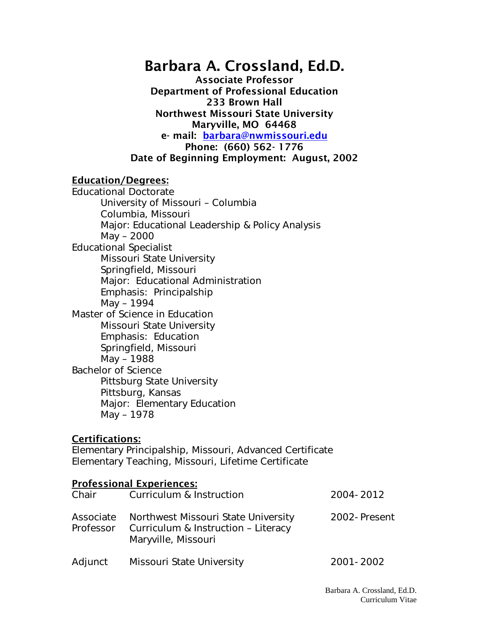# Barbara A. Crossland, Ed.D.

Associate Professor Department of Professional Education 233 Brown Hall Northwest Missouri State University Maryville, MO 64468 e- mail: [barbara@nwmissouri.edu](mailto:barbara@nwmissouri.edu) Phone: (660) 562- 1776 Date of Beginning Employment: August, 2002

#### Education/Degrees:

Educational Doctorate University of Missouri – Columbia Columbia, Missouri Major: Educational Leadership & Policy Analysis May – 2000 Educational Specialist Missouri State University Springfield, Missouri Major: Educational Administration Emphasis: Principalship May – 1994 Master of Science in Education Missouri State University Emphasis: Education Springfield, Missouri May – 1988 Bachelor of Science Pittsburg State University Pittsburg, Kansas Major: Elementary Education May – 1978

#### Certifications:

Elementary Principalship, Missouri, Advanced Certificate Elementary Teaching, Missouri, Lifetime Certificate

## Professional Experiences: Chair Curriculum & Instruction 2004-2012 Associate Northwest Missouri State University 2002-Present<br>Professor Curriculum & Instruction - Literacy Curriculum & Instruction – Literacy Maryville, Missouri Adjunct Missouri State University 1988 1990 12001-2002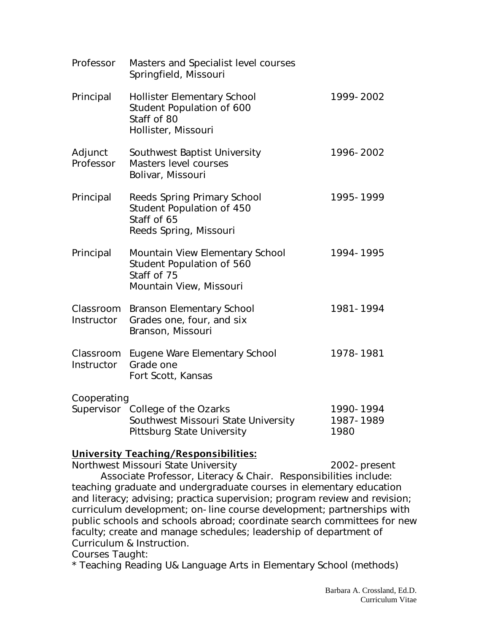| Professor               | Masters and Specialist level courses<br>Springfield, Missouri                                                |                                |
|-------------------------|--------------------------------------------------------------------------------------------------------------|--------------------------------|
| Principal               | <b>Hollister Elementary School</b><br>Student Population of 600<br>Staff of 80<br>Hollister, Missouri        | 1999-2002                      |
| Adjunct<br>Professor    | Southwest Baptist University<br>Masters level courses<br>Bolivar, Missouri                                   | 1996-2002                      |
| Principal               | <b>Reeds Spring Primary School</b><br>Student Population of 450<br>Staff of 65<br>Reeds Spring, Missouri     | 1995-1999                      |
| Principal               | Mountain View Elementary School<br>Student Population of 560<br>Staff of 75<br>Mountain View, Missouri       | 1994-1995                      |
| Classroom<br>Instructor | <b>Branson Elementary School</b><br>Grades one, four, and six<br>Branson, Missouri                           | 1981-1994                      |
| Classroom<br>Instructor | Eugene Ware Elementary School<br>Grade one<br>Fort Scott, Kansas                                             | 1978-1981                      |
| Cooperating             | Supervisor College of the Ozarks<br>Southwest Missouri State University<br><b>Pittsburg State University</b> | 1990-1994<br>1987-1989<br>1980 |

#### University Teaching/Responsibilities:

Northwest Missouri State University **2002-present** 

Associate Professor, Literacy & Chair. Responsibilities include: teaching graduate and undergraduate courses in elementary education and literacy; advising; practica supervision; program review and revision; curriculum development; on-line course development; partnerships with public schools and schools abroad; coordinate search committees for new faculty; create and manage schedules; leadership of department of Curriculum & Instruction.

Courses Taught:

\* Teaching Reading U& Language Arts in Elementary School (methods)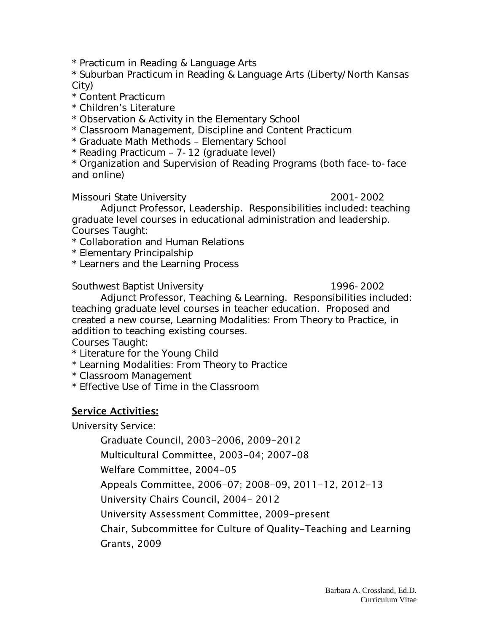\* Practicum in Reading & Language Arts

\* Suburban Practicum in Reading & Language Arts (Liberty/North Kansas City)

- \* Content Practicum
- \* Children's Literature

\* Observation & Activity in the Elementary School

\* Classroom Management, Discipline and Content Practicum

\* Graduate Math Methods – Elementary School

\* Reading Practicum – 7-12 (graduate level)

\* Organization and Supervision of Reading Programs (both face-to-face and online)

Missouri State University 2001-2002

Adjunct Professor, Leadership. Responsibilities included: teaching graduate level courses in educational administration and leadership. Courses Taught:

\* Collaboration and Human Relations

\* Elementary Principalship

\* Learners and the Learning Process

Southwest Baptist University 1996-2002

Adjunct Professor, Teaching & Learning. Responsibilities included: teaching graduate level courses in teacher education. Proposed and created a new course, Learning Modalities: From Theory to Practice, in addition to teaching existing courses.

Courses Taught:

\* Literature for the Young Child

\* Learning Modalities: From Theory to Practice

\* Classroom Management

\* Effective Use of Time in the Classroom

### Service Activities:

University Service:

Graduate Council, 2003-2006, 2009-2012

Multicultural Committee, 2003-04; 2007-08

Welfare Committee, 2004-05

Appeals Committee, 2006-07; 2008-09, 2011-12, 2012-13

University Chairs Council, 2004- 2012

University Assessment Committee, 2009-present

Chair, Subcommittee for Culture of Quality-Teaching and Learning

Grants, 2009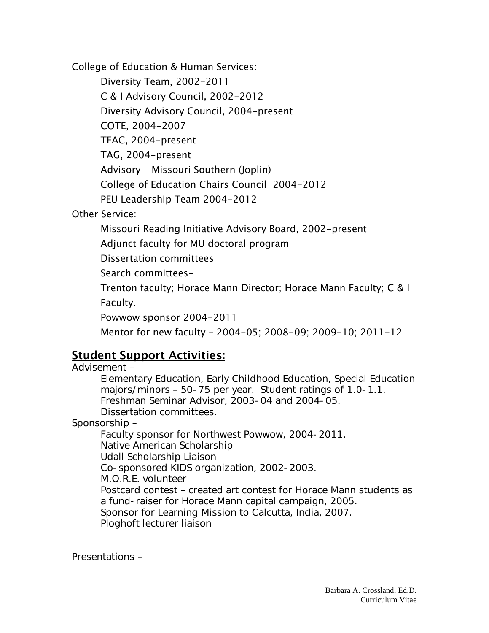College of Education & Human Services:

Diversity Team, 2002-2011 C & I Advisory Council, 2002-2012 Diversity Advisory Council, 2004-present COTE, 2004-2007 TEAC, 2004-present TAG, 2004-present Advisory – Missouri Southern (Joplin) College of Education Chairs Council 2004-2012 PEU Leadership Team 2004-2012

Other Service:

Missouri Reading Initiative Advisory Board, 2002-present

Adjunct faculty for MU doctoral program

Dissertation committees

Search committees-

Trenton faculty; Horace Mann Director; Horace Mann Faculty; C & I Faculty.

Powwow sponsor 2004-2011

Mentor for new faculty – 2004-05; 2008-09; 2009-10; 2011-12

## Student Support Activities:

Advisement – Elementary Education, Early Childhood Education, Special Education majors/minors – 50-75 per year. Student ratings of 1.0-1.1. Freshman Seminar Advisor, 2003-04 and 2004-05. Dissertation committees. Sponsorship – Faculty sponsor for Northwest Powwow, 2004-2011. Native American Scholarship Udall Scholarship Liaison Co-sponsored KIDS organization, 2002-2003. M.O.R.E. volunteer Postcard contest – created art contest for Horace Mann students as a fund-raiser for Horace Mann capital campaign, 2005. Sponsor for Learning Mission to Calcutta, India, 2007. Ploghoft lecturer liaison

Presentations –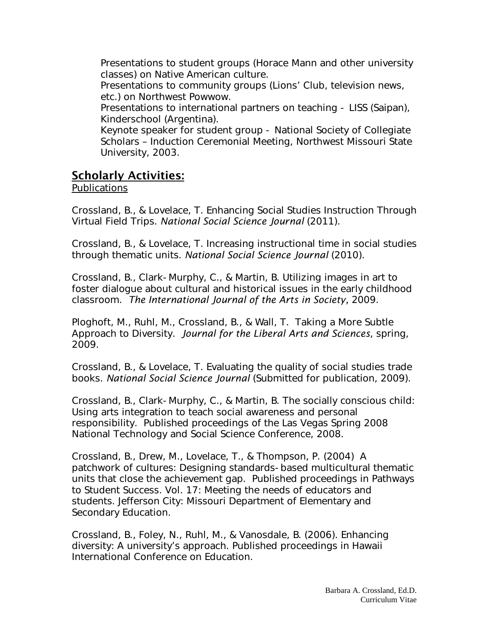Presentations to student groups (Horace Mann and other university classes) on Native American culture.

Presentations to community groups (Lions' Club, television news, etc.) on Northwest Powwow.

Presentations to international partners on teaching - LISS (Saipan), Kinderschool (Argentina).

Keynote speaker for student group - National Society of Collegiate Scholars – Induction Ceremonial Meeting, Northwest Missouri State University, 2003.

## Scholarly Activities:

#### Publications

Crossland, B., & Lovelace, T. Enhancing Social Studies Instruction Through Virtual Field Trips. *National Social Science Journal* (2011).

Crossland, B., & Lovelace, T. Increasing instructional time in social studies through thematic units. *National Social Science Journal* (2010).

Crossland, B., Clark-Murphy, C., & Martin, B. Utilizing images in art to foster dialogue about cultural and historical issues in the early childhood classroom. *The International Journal of the Arts in Society,* 2009.

Ploghoft, M., Ruhl, M., Crossland, B., & Wall, T. Taking a More Subtle Approach to Diversity. *Journal for the Liberal Arts and Sciences*, spring, 2009.

Crossland, B., & Lovelace, T. Evaluating the quality of social studies trade books. *National Social Science Journal* (Submitted for publication, 2009).

Crossland, B., Clark-Murphy, C., & Martin, B. The socially conscious child: Using arts integration to teach social awareness and personal responsibility. Published proceedings of the Las Vegas Spring 2008 National Technology and Social Science Conference, 2008.

Crossland, B., Drew, M., Lovelace, T., & Thompson, P. (2004) A patchwork of cultures: Designing standards-based multicultural thematic units that close the achievement gap. Published proceedings in Pathways to Student Success. Vol. 17: Meeting the needs of educators and students. Jefferson City: Missouri Department of Elementary and Secondary Education.

Crossland, B., Foley, N., Ruhl, M., & Vanosdale, B. (2006). Enhancing diversity: A university's approach. Published proceedings in Hawaii International Conference on Education.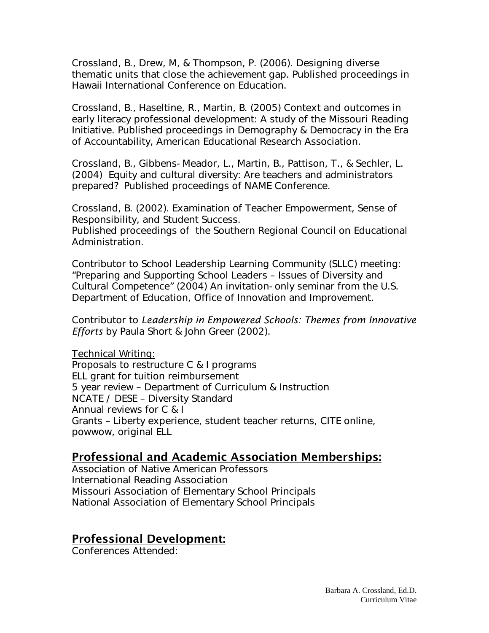Crossland, B., Drew, M, & Thompson, P. (2006). Designing diverse thematic units that close the achievement gap. Published proceedings in Hawaii International Conference on Education.

Crossland, B., Haseltine, R., Martin, B. (2005) Context and outcomes in early literacy professional development: A study of the Missouri Reading Initiative. Published proceedings in Demography & Democracy in the Era of Accountability, American Educational Research Association.

Crossland, B., Gibbens-Meador, L., Martin, B., Pattison, T., & Sechler, L. (2004) Equity and cultural diversity: Are teachers and administrators prepared? Published proceedings of NAME Conference.

Crossland, B. (2002). Examination of Teacher Empowerment, Sense of Responsibility, and Student Success.

Published proceedings of the Southern Regional Council on Educational Administration.

Contributor to School Leadership Learning Community (SLLC) meeting: "Preparing and Supporting School Leaders – Issues of Diversity and Cultural Competence" (2004) An invitation-only seminar from the U.S. Department of Education, Office of Innovation and Improvement.

Contributor to *Leadership in Empowered Schools: Themes from Innovative Efforts* by Paula Short & John Greer (2002).

Technical Writing: Proposals to restructure C & I programs ELL grant for tuition reimbursement 5 year review – Department of Curriculum & Instruction NCATE / DESE – Diversity Standard Annual reviews for C & I Grants – Liberty experience, student teacher returns, CITE online, powwow, original ELL

### Professional and Academic Association Memberships:

Association of Native American Professors International Reading Association Missouri Association of Elementary School Principals National Association of Elementary School Principals

## Professional Development:

Conferences Attended: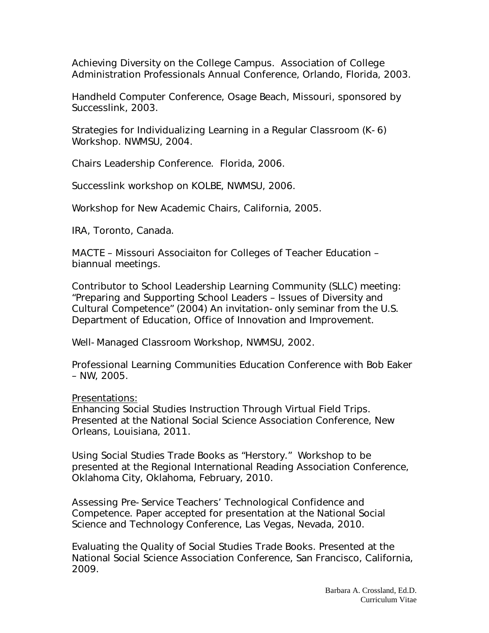Achieving Diversity on the College Campus. Association of College Administration Professionals Annual Conference, Orlando, Florida, 2003.

Handheld Computer Conference, Osage Beach, Missouri, sponsored by Successlink, 2003.

Strategies for Individualizing Learning in a Regular Classroom (K-6) Workshop. NWMSU, 2004.

Chairs Leadership Conference. Florida, 2006.

Successlink workshop on KOLBE, NWMSU, 2006.

Workshop for New Academic Chairs, California, 2005.

IRA, Toronto, Canada.

MACTE – Missouri Associaiton for Colleges of Teacher Education – biannual meetings.

Contributor to School Leadership Learning Community (SLLC) meeting: "Preparing and Supporting School Leaders – Issues of Diversity and Cultural Competence" (2004) An invitation-only seminar from the U.S. Department of Education, Office of Innovation and Improvement.

Well-Managed Classroom Workshop, NWMSU, 2002.

Professional Learning Communities Education Conference with Bob Eaker – NW, 2005.

#### Presentations:

Enhancing Social Studies Instruction Through Virtual Field Trips. Presented at the National Social Science Association Conference, New Orleans, Louisiana, 2011.

Using Social Studies Trade Books as "Herstory." Workshop to be presented at the Regional International Reading Association Conference, Oklahoma City, Oklahoma, February, 2010.

Assessing Pre-Service Teachers' Technological Confidence and Competence. Paper accepted for presentation at the National Social Science and Technology Conference, Las Vegas, Nevada, 2010.

Evaluating the Quality of Social Studies Trade Books. Presented at the National Social Science Association Conference, San Francisco, California, 2009.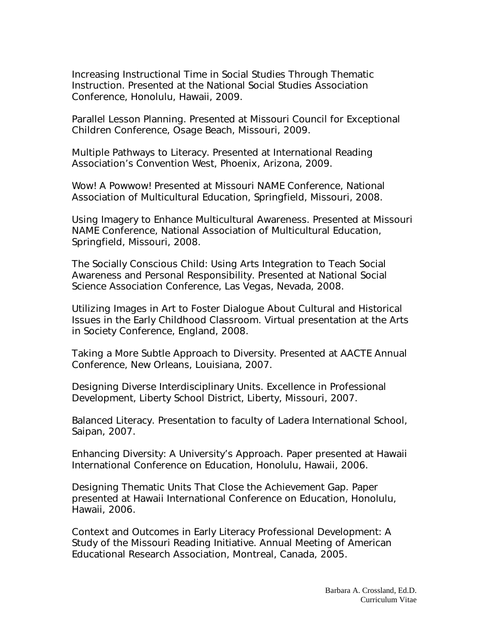Increasing Instructional Time in Social Studies Through Thematic Instruction. Presented at the National Social Studies Association Conference, Honolulu, Hawaii, 2009.

Parallel Lesson Planning. Presented at Missouri Council for Exceptional Children Conference, Osage Beach, Missouri, 2009.

Multiple Pathways to Literacy. Presented at International Reading Association's Convention West, Phoenix, Arizona, 2009.

Wow! A Powwow! Presented at Missouri NAME Conference, National Association of Multicultural Education, Springfield, Missouri, 2008.

Using Imagery to Enhance Multicultural Awareness. Presented at Missouri NAME Conference, National Association of Multicultural Education, Springfield, Missouri, 2008.

The Socially Conscious Child: Using Arts Integration to Teach Social Awareness and Personal Responsibility. Presented at National Social Science Association Conference, Las Vegas, Nevada, 2008.

Utilizing Images in Art to Foster Dialogue About Cultural and Historical Issues in the Early Childhood Classroom. Virtual presentation at the Arts in Society Conference, England, 2008.

Taking a More Subtle Approach to Diversity. Presented at AACTE Annual Conference, New Orleans, Louisiana, 2007.

Designing Diverse Interdisciplinary Units. Excellence in Professional Development, Liberty School District, Liberty, Missouri, 2007.

Balanced Literacy. Presentation to faculty of Ladera International School, Saipan, 2007.

Enhancing Diversity: A University's Approach. Paper presented at Hawaii International Conference on Education, Honolulu, Hawaii, 2006.

Designing Thematic Units That Close the Achievement Gap. Paper presented at Hawaii International Conference on Education, Honolulu, Hawaii, 2006.

Context and Outcomes in Early Literacy Professional Development: A Study of the Missouri Reading Initiative. Annual Meeting of American Educational Research Association, Montreal, Canada, 2005.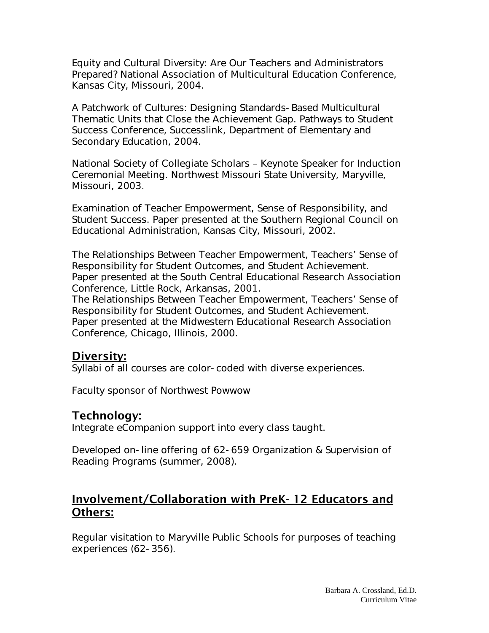Equity and Cultural Diversity: Are Our Teachers and Administrators Prepared? National Association of Multicultural Education Conference, Kansas City, Missouri, 2004.

A Patchwork of Cultures: Designing Standards-Based Multicultural Thematic Units that Close the Achievement Gap. Pathways to Student Success Conference, Successlink, Department of Elementary and Secondary Education, 2004.

National Society of Collegiate Scholars – Keynote Speaker for Induction Ceremonial Meeting. Northwest Missouri State University, Maryville, Missouri, 2003.

Examination of Teacher Empowerment, Sense of Responsibility, and Student Success. Paper presented at the Southern Regional Council on Educational Administration, Kansas City, Missouri, 2002.

The Relationships Between Teacher Empowerment, Teachers' Sense of Responsibility for Student Outcomes, and Student Achievement. Paper presented at the South Central Educational Research Association Conference, Little Rock, Arkansas, 2001.

The Relationships Between Teacher Empowerment, Teachers' Sense of Responsibility for Student Outcomes, and Student Achievement. Paper presented at the Midwestern Educational Research Association Conference, Chicago, Illinois, 2000.

### Diversity:

Syllabi of all courses are color-coded with diverse experiences.

Faculty sponsor of Northwest Powwow

## Technology:

Integrate eCompanion support into every class taught.

Developed on-line offering of 62-659 Organization & Supervision of Reading Programs (summer, 2008).

## Involvement/Collaboration with PreK- 12 Educators and Others:

Regular visitation to Maryville Public Schools for purposes of teaching experiences (62-356).